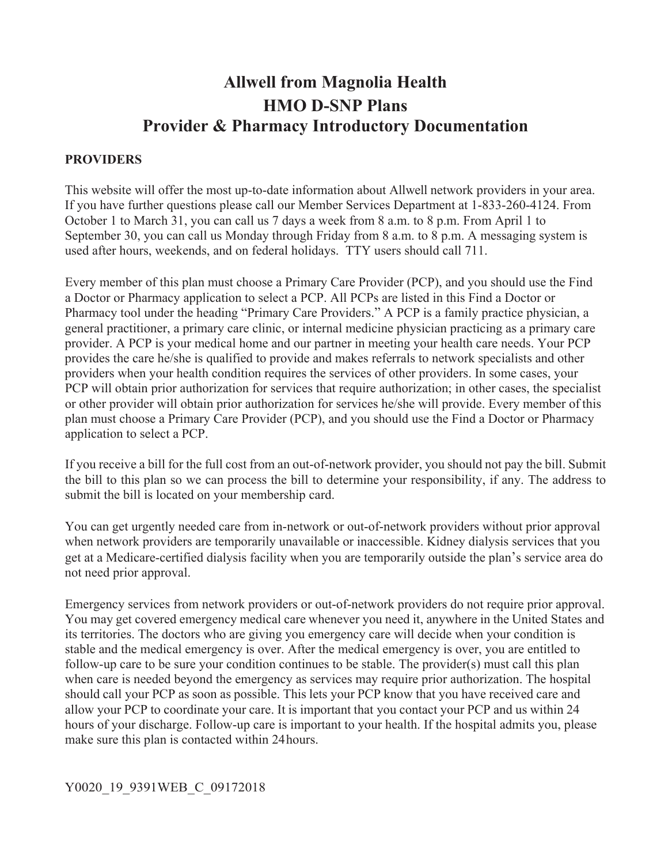# **Allwell from Magnolia Health HMO D-SNP Plans Provider & Pharmacy Introductory Documentation**

#### **PROVIDERS**

 October 1 to March 31, you can call us 7 days a week from 8 a.m. to 8 p.m. From April 1 to September 30, you can call us Monday through Friday from 8 a.m. to 8 p.m. A messaging system is This website will offer the most up-to-date information about Allwell network providers in your area. If you have further questions please call our Member Services Department at 1-833-260-4124. From used after hours, weekends, and on federal holidays. TTY users should call 711.

 plan must choose a Primary Care Provider (PCP), and you should use the Find a Doctor or Pharmacy Every member of this plan must choose a Primary Care Provider (PCP), and you should use the Find a Doctor or Pharmacy application to select a PCP. All PCPs are listed in this Find a Doctor or Pharmacy tool under the heading "Primary Care Providers." A PCP is a family practice physician, a general practitioner, a primary care clinic, or internal medicine physician practicing as a primary care provider. A PCP is your medical home and our partner in meeting your health care needs. Your PCP provides the care he/she is qualified to provide and makes referrals to network specialists and other providers when your health condition requires the services of other providers. In some cases, your PCP will obtain prior authorization for services that require authorization; in other cases, the specialist or other provider will obtain prior authorization for services he/she will provide. Every member of this application to select a PCP.

 the bill to this plan so we can process the bill to determine your responsibility, if any. The address to If you receive a bill for the full cost from an out-of-network provider, you should not pay the bill. Submit submit the bill is located on your membership card.

 get at a Medicare-certified dialysis facility when you are temporarily outside the plan's service area do You can get urgently needed care from in-network or out-of-network providers without prior approval when network providers are temporarily unavailable or inaccessible. Kidney dialysis services that you not need prior approval.

 make sure this plan is contacted within 24hours. Emergency services from network providers or out-of-network providers do not require prior approval. You may get covered emergency medical care whenever you need it, anywhere in the United States and its territories. The doctors who are giving you emergency care will decide when your condition is stable and the medical emergency is over. After the medical emergency is over, you are entitled to follow-up care to be sure your condition continues to be stable. The provider(s) must call this plan when care is needed beyond the emergency as services may require prior authorization. The hospital should call your PCP as soon as possible. This lets your PCP know that you have received care and allow your PCP to coordinate your care. It is important that you contact your PCP and us within 24 hours of your discharge. Follow-up care is important to your health. If the hospital admits you, please

### Y0020\_19\_9391WEB\_C\_09172018